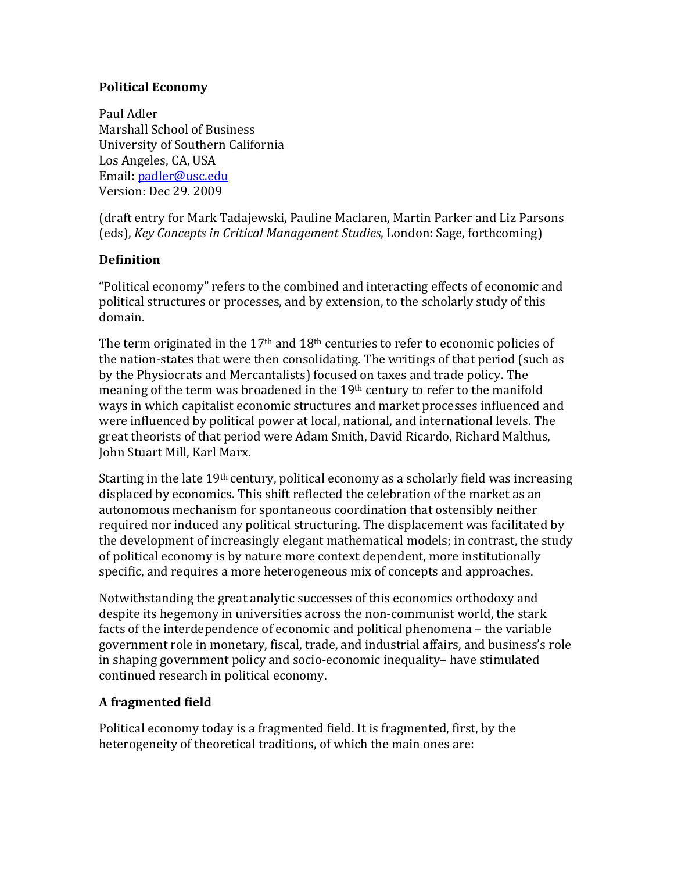### **Political Economy**

Paul Adler Marshall School of Business University of Southern California Los Angeles, CA, USA Email: padler@usc.edu Version: Dec 29, 2009

(draft entry for Mark Tadajewski, Pauline Maclaren, Martin Parker and Liz Parsons (eds), *Key Concepts in Critical Management Studies*, London: Sage, forthcoming)

# **Definition**

"Political economy" refers to the combined and interacting effects of economic and political structures or processes, and by extension, to the scholarly study of this domain.

The term originated in the 17<sup>th</sup> and 18<sup>th</sup> centuries to refer to economic policies of the nation-states that were then consolidating. The writings of that period (such as by the Physiocrats and Mercantalists) focused on taxes and trade policy. The meaning of the term was broadened in the  $19<sup>th</sup>$  century to refer to the manifold ways in which capitalist economic structures and market processes influenced and were influenced by political power at local, national, and international levels. The great theorists of that period were Adam Smith, David Ricardo, Richard Malthus, John Stuart Mill, Karl Marx.

Starting in the late  $19th$  century, political economy as a scholarly field was increasing displaced by economics. This shift reflected the celebration of the market as an autonomous mechanism for spontaneous coordination that ostensibly neither required nor induced any political structuring. The displacement was facilitated by the development of increasingly elegant mathematical models; in contrast, the study of political economy is by nature more context dependent, more institutionally specific, and requires a more heterogeneous mix of concepts and approaches.

Notwithstanding the great analytic successes of this economics orthodoxy and despite its hegemony in universities across the non-communist world, the stark facts of the interdependence of economic and political phenomena – the variable government role in monetary, fiscal, trade, and industrial affairs, and business's role in shaping government policy and socio-economic inequality– have stimulated continued research in political economy.

# **A** fragmented field

Political economy today is a fragmented field. It is fragmented, first, by the heterogeneity of theoretical traditions, of which the main ones are: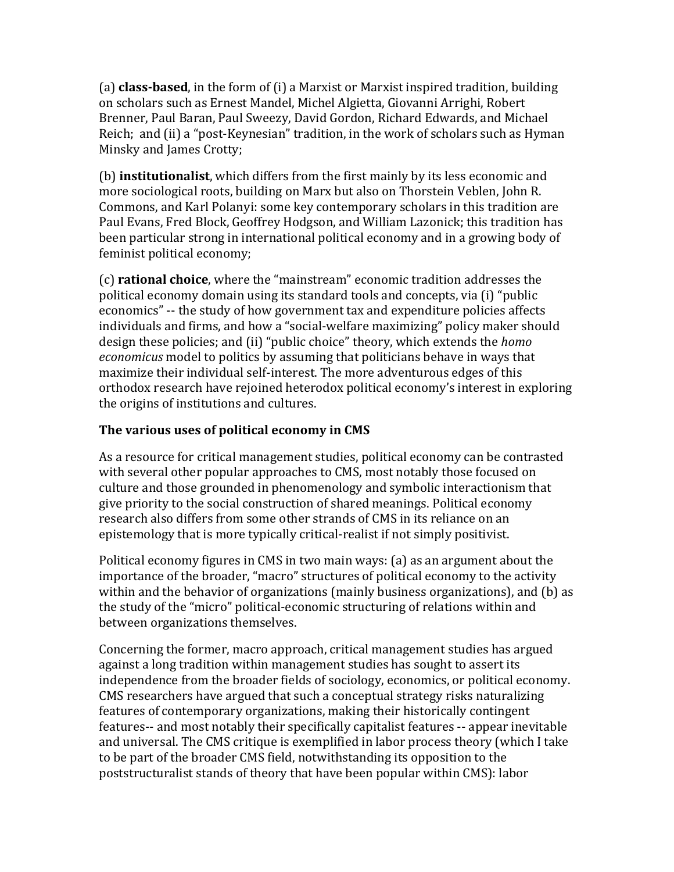(a) **class-based**, in the form of (i) a Marxist or Marxist inspired tradition, building on scholars such as Ernest Mandel, Michel Algietta, Giovanni Arrighi, Robert Brenner, Paul Baran, Paul Sweezy, David Gordon, Richard Edwards, and Michael Reich; and (ii) a "post-Keynesian" tradition, in the work of scholars such as Hyman Minsky and James Crotty;

(b) **institutionalist**, which differs from the first mainly by its less economic and more sociological roots, building on Marx but also on Thorstein Veblen, John R. Commons, and Karl Polanyi: some key contemporary scholars in this tradition are Paul Evans, Fred Block, Geoffrey Hodgson, and William Lazonick; this tradition has been particular strong in international political economy and in a growing body of feminist political economy;

(c) **rational choice**, where the "mainstream" economic tradition addresses the political economy domain using its standard tools and concepts, via (i) "public" economics" -- the study of how government tax and expenditure policies affects individuals and firms, and how a "social-welfare maximizing" policy maker should design these policies; and (ii) "public choice" theory, which extends the *homo economicus* model to politics by assuming that politicians behave in ways that maximize their individual self-interest. The more adventurous edges of this orthodox research have rejoined heterodox political economy's interest in exploring the origins of institutions and cultures.

# The various uses of political economy in CMS

As a resource for critical management studies, political economy can be contrasted with several other popular approaches to CMS, most notably those focused on culture and those grounded in phenomenology and symbolic interactionism that give priority to the social construction of shared meanings. Political economy research also differs from some other strands of CMS in its reliance on an epistemology that is more typically critical-realist if not simply positivist.

Political economy figures in CMS in two main ways: (a) as an argument about the importance of the broader, "macro" structures of political economy to the activity within and the behavior of organizations (mainly business organizations), and (b) as the study of the "micro" political-economic structuring of relations within and between organizations themselves.

Concerning the former, macro approach, critical management studies has argued against a long tradition within management studies has sought to assert its independence from the broader fields of sociology, economics, or political economy. CMS researchers have argued that such a conceptual strategy risks naturalizing features of contemporary organizations, making their historically contingent features-- and most notably their specifically capitalist features -- appear inevitable and universal. The CMS critique is exemplified in labor process theory (which I take to be part of the broader CMS field, notwithstanding its opposition to the poststructuralist stands of theory that have been popular within CMS): labor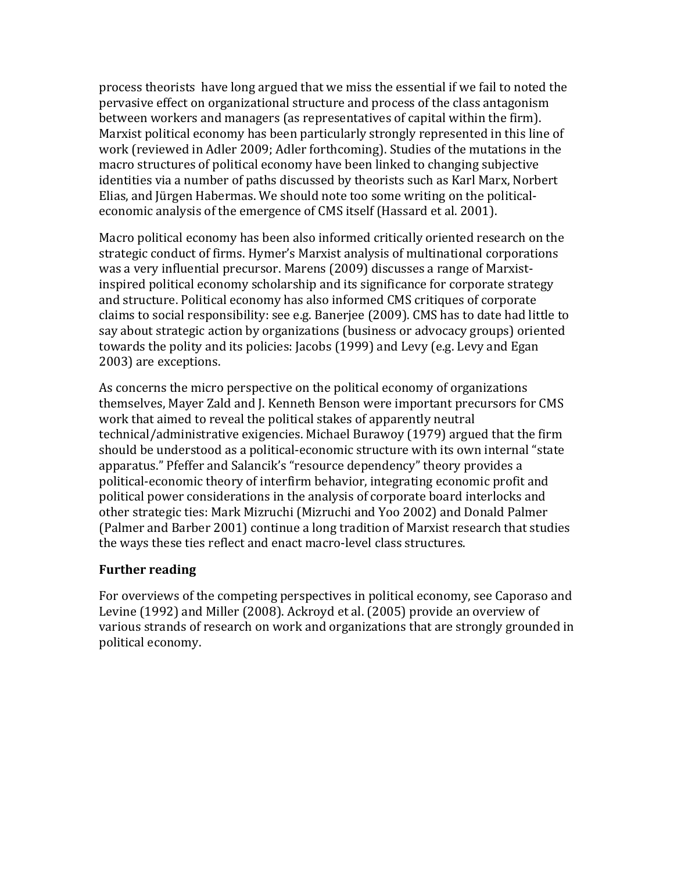process theorists have long argued that we miss the essential if we fail to noted the pervasive effect on organizational structure and process of the class antagonism between workers and managers (as representatives of capital within the firm). Marxist political economy has been particularly strongly represented in this line of work (reviewed in Adler 2009; Adler forthcoming). Studies of the mutations in the macro structures of political economy have been linked to changing subjective identities via a number of paths discussed by theorists such as Karl Marx, Norbert Elias, and Jürgen Habermas. We should note too some writing on the politicaleconomic analysis of the emergence of CMS itself (Hassard et al. 2001).

Macro political economy has been also informed critically oriented research on the strategic conduct of firms. Hymer's Marxist analysis of multinational corporations was a very influential precursor. Marens (2009) discusses a range of Marxistinspired political economy scholarship and its significance for corporate strategy and structure. Political economy has also informed CMS critiques of corporate claims to social responsibility: see e.g. Banerjee (2009). CMS has to date had little to say about strategic action by organizations (business or advocacy groups) oriented towards the polity and its policies: Jacobs (1999) and Levy (e.g. Levy and Egan 2003) are exceptions.

As concerns the micro perspective on the political economy of organizations themselves, Mayer Zald and J. Kenneth Benson were important precursors for CMS work that aimed to reveal the political stakes of apparently neutral technical/administrative exigencies. Michael Burawoy (1979) argued that the firm should be understood as a political-economic structure with its own internal "state apparatus." Pfeffer and Salancik's "resource dependency" theory provides a political-economic theory of interfirm behavior, integrating economic profit and political power considerations in the analysis of corporate board interlocks and other strategic ties: Mark Mizruchi (Mizruchi and Yoo 2002) and Donald Palmer (Palmer and Barber 2001) continue a long tradition of Marxist research that studies the ways these ties reflect and enact macro-level class structures.

### **Further reading**

For overviews of the competing perspectives in political economy, see Caporaso and Levine (1992) and Miller (2008). Ackroyd et al. (2005) provide an overview of various strands of research on work and organizations that are strongly grounded in political economy.